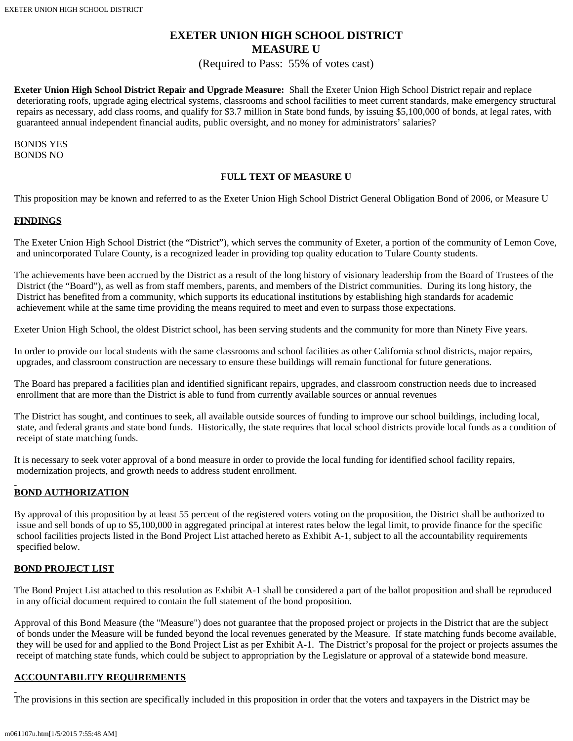# **EXETER UNION HIGH SCHOOL DISTRICT MEASURE U**

(Required to Pass: 55% of votes cast)

**Exeter Union High School District Repair and Upgrade Measure:** Shall the Exeter Union High School District repair and replace deteriorating roofs, upgrade aging electrical systems, classrooms and school facilities to meet current standards, make emergency structural repairs as necessary, add class rooms, and qualify for \$3.7 million in State bond funds, by issuing \$5,100,000 of bonds, at legal rates, with guaranteed annual independent financial audits, public oversight, and no money for administrators' salaries?

BONDS YES BONDS NO

# **FULL TEXT OF MEASURE U**

This proposition may be known and referred to as the Exeter Union High School District General Obligation Bond of 2006, or Measure U

## **FINDINGS**

The Exeter Union High School District (the "District"), which serves the community of Exeter, a portion of the community of Lemon Cove, and unincorporated Tulare County, is a recognized leader in providing top quality education to Tulare County students.

The achievements have been accrued by the District as a result of the long history of visionary leadership from the Board of Trustees of the District (the "Board"), as well as from staff members, parents, and members of the District communities. During its long history, the District has benefited from a community, which supports its educational institutions by establishing high standards for academic achievement while at the same time providing the means required to meet and even to surpass those expectations.

Exeter Union High School, the oldest District school, has been serving students and the community for more than Ninety Five years.

In order to provide our local students with the same classrooms and school facilities as other California school districts, major repairs, upgrades, and classroom construction are necessary to ensure these buildings will remain functional for future generations.

The Board has prepared a facilities plan and identified significant repairs, upgrades, and classroom construction needs due to increased enrollment that are more than the District is able to fund from currently available sources or annual revenues

The District has sought, and continues to seek, all available outside sources of funding to improve our school buildings, including local, state, and federal grants and state bond funds. Historically, the state requires that local school districts provide local funds as a condition of receipt of state matching funds.

It is necessary to seek voter approval of a bond measure in order to provide the local funding for identified school facility repairs, modernization projects, and growth needs to address student enrollment.

## **BOND AUTHORIZATION**

By approval of this proposition by at least 55 percent of the registered voters voting on the proposition, the District shall be authorized to issue and sell bonds of up to \$5,100,000 in aggregated principal at interest rates below the legal limit, to provide finance for the specific school facilities projects listed in the Bond Project List attached hereto as Exhibit A-1, subject to all the accountability requirements specified below.

## **BOND PROJECT LIST**

The Bond Project List attached to this resolution as Exhibit A-1 shall be considered a part of the ballot proposition and shall be reproduced in any official document required to contain the full statement of the bond proposition.

Approval of this Bond Measure (the "Measure") does not guarantee that the proposed project or projects in the District that are the subject of bonds under the Measure will be funded beyond the local revenues generated by the Measure. If state matching funds become available, they will be used for and applied to the Bond Project List as per Exhibit A-1. The District's proposal for the project or projects assumes the receipt of matching state funds, which could be subject to appropriation by the Legislature or approval of a statewide bond measure.

# **ACCOUNTABILITY REQUIREMENTS**

The provisions in this section are specifically included in this proposition in order that the voters and taxpayers in the District may be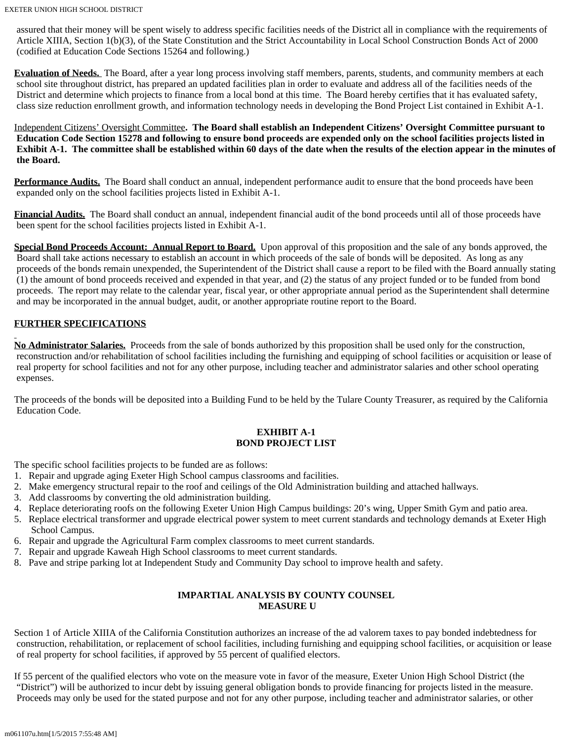assured that their money will be spent wisely to address specific facilities needs of the District all in compliance with the requirements of Article XIIIA, Section 1(b)(3), of the State Constitution and the Strict Accountability in Local School Construction Bonds Act of 2000 (codified at Education Code Sections 15264 and following.)

**Evaluation of Needs.** The Board, after a year long process involving staff members, parents, students, and community members at each school site throughout district, has prepared an updated facilities plan in order to evaluate and address all of the facilities needs of the District and determine which projects to finance from a local bond at this time. The Board hereby certifies that it has evaluated safety, class size reduction enrollment growth, and information technology needs in developing the Bond Project List contained in Exhibit A-1.

Independent Citizens' Oversight Committee**. The Board shall establish an Independent Citizens' Oversight Committee pursuant to Education Code Section 15278 and following to ensure bond proceeds are expended only on the school facilities projects listed in Exhibit A-1. The committee shall be established within 60 days of the date when the results of the election appear in the minutes of the Board.**

**Performance Audits.** The Board shall conduct an annual, independent performance audit to ensure that the bond proceeds have been expanded only on the school facilities projects listed in Exhibit A-1.

**Financial Audits.** The Board shall conduct an annual, independent financial audit of the bond proceeds until all of those proceeds have been spent for the school facilities projects listed in Exhibit A-1.

**Special Bond Proceeds Account: Annual Report to Board.** Upon approval of this proposition and the sale of any bonds approved, the Board shall take actions necessary to establish an account in which proceeds of the sale of bonds will be deposited. As long as any proceeds of the bonds remain unexpended, the Superintendent of the District shall cause a report to be filed with the Board annually stating (1) the amount of bond proceeds received and expended in that year, and (2) the status of any project funded or to be funded from bond proceeds. The report may relate to the calendar year, fiscal year, or other appropriate annual period as the Superintendent shall determine and may be incorporated in the annual budget, audit, or another appropriate routine report to the Board.

# **FURTHER SPECIFICATIONS**

**No Administrator Salaries.** Proceeds from the sale of bonds authorized by this proposition shall be used only for the construction, reconstruction and/or rehabilitation of school facilities including the furnishing and equipping of school facilities or acquisition or lease of real property for school facilities and not for any other purpose, including teacher and administrator salaries and other school operating expenses.

The proceeds of the bonds will be deposited into a Building Fund to be held by the Tulare County Treasurer, as required by the California Education Code.

# **EXHIBIT A-1 BOND PROJECT LIST**

The specific school facilities projects to be funded are as follows:

- 1. Repair and upgrade aging Exeter High School campus classrooms and facilities.
- 2. Make emergency structural repair to the roof and ceilings of the Old Administration building and attached hallways.
- 3. Add classrooms by converting the old administration building.
- 4. Replace deteriorating roofs on the following Exeter Union High Campus buildings: 20's wing, Upper Smith Gym and patio area.
- 5. Replace electrical transformer and upgrade electrical power system to meet current standards and technology demands at Exeter High School Campus.
- 6. Repair and upgrade the Agricultural Farm complex classrooms to meet current standards.
- 7. Repair and upgrade Kaweah High School classrooms to meet current standards.
- 8. Pave and stripe parking lot at Independent Study and Community Day school to improve health and safety.

## **IMPARTIAL ANALYSIS BY COUNTY COUNSEL MEASURE U**

Section 1 of Article XIIIA of the California Constitution authorizes an increase of the ad valorem taxes to pay bonded indebtedness for construction, rehabilitation, or replacement of school facilities, including furnishing and equipping school facilities, or acquisition or lease of real property for school facilities, if approved by 55 percent of qualified electors.

If 55 percent of the qualified electors who vote on the measure vote in favor of the measure, Exeter Union High School District (the "District") will be authorized to incur debt by issuing general obligation bonds to provide financing for projects listed in the measure. Proceeds may only be used for the stated purpose and not for any other purpose, including teacher and administrator salaries, or other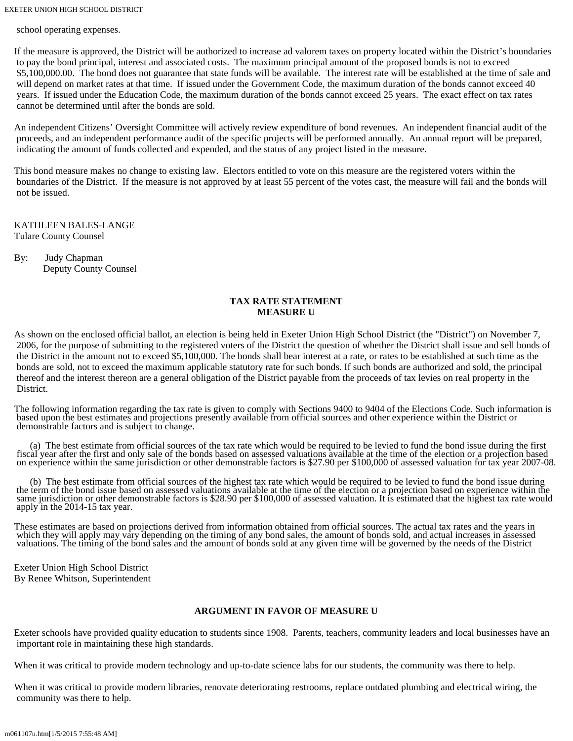EXETER UNION HIGH SCHOOL DISTRICT

school operating expenses.

If the measure is approved, the District will be authorized to increase ad valorem taxes on property located within the District's boundaries to pay the bond principal, interest and associated costs. The maximum principal amount of the proposed bonds is not to exceed \$5,100,000.00. The bond does not guarantee that state funds will be available. The interest rate will be established at the time of sale and will depend on market rates at that time. If issued under the Government Code, the maximum duration of the bonds cannot exceed 40 years. If issued under the Education Code, the maximum duration of the bonds cannot exceed 25 years. The exact effect on tax rates cannot be determined until after the bonds are sold.

An independent Citizens' Oversight Committee will actively review expenditure of bond revenues. An independent financial audit of the proceeds, and an independent performance audit of the specific projects will be performed annually. An annual report will be prepared, indicating the amount of funds collected and expended, and the status of any project listed in the measure.

This bond measure makes no change to existing law. Electors entitled to vote on this measure are the registered voters within the boundaries of the District. If the measure is not approved by at least 55 percent of the votes cast, the measure will fail and the bonds will not be issued.

KATHLEEN BALES-LANGE Tulare County Counsel

By: Judy Chapman Deputy County Counsel

#### **TAX RATE STATEMENT MEASURE U**

As shown on the enclosed official ballot, an election is being held in Exeter Union High School District (the "District") on November 7, 2006, for the purpose of submitting to the registered voters of the District the question of whether the District shall issue and sell bonds of the District in the amount not to exceed \$5,100,000. The bonds shall bear interest at a rate, or rates to be established at such time as the bonds are sold, not to exceed the maximum applicable statutory rate for such bonds. If such bonds are authorized and sold, the principal thereof and the interest thereon are a general obligation of the District payable from the proceeds of tax levies on real property in the District.

The following information regarding the tax rate is given to comply with Sections 9400 to 9404 of the Elections Code. Such information is based upon the best estimates and projections presently available from official sources and other experience within the District or demonstrable factors and is subject to change.

(a) The best estimate from official sources of the tax rate which would be required to be levied to fund the bond issue during the first fiscal year after the first and only sale of the bonds based on assessed valuations a

(b) The best estimate from official sources of the highest tax rate which would be required to be levied to fund the bond issue during the term of the bond issue based on assessed valuations available at the time of the el

These estimates are based on projections derived from information obtained from official sources. The actual tax rates and the years in which they will apply may vary depending on the timing of any bond sales, the amount o valuations. The timing of the bond sales and the amount of bonds sold at any given time will be governed by the needs of the District

Exeter Union High School District By Renee Whitson, Superintendent

## **ARGUMENT IN FAVOR OF MEASURE U**

Exeter schools have provided quality education to students since 1908. Parents, teachers, community leaders and local businesses have an important role in maintaining these high standards.

When it was critical to provide modern technology and up-to-date science labs for our students, the community was there to help.

When it was critical to provide modern libraries, renovate deteriorating restrooms, replace outdated plumbing and electrical wiring, the community was there to help.